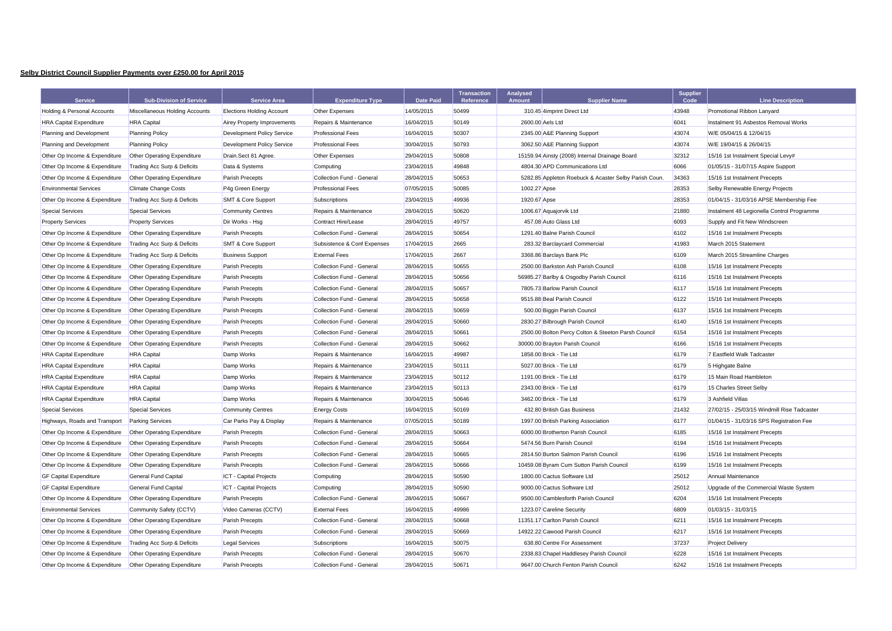## **Selby District Council Supplier Payments over £250.00 for April 2015**

| <b>Service</b>                         | <b>Sub-Division of Service</b>     | <b>Service Area</b>                | <b>Expenditure Type</b>     | <b>Date Paid</b> | <b>Transaction</b><br>Reference | Analysed<br>Amount | <b>Supplier Name</b>                                  | <b>Supplier</b><br>Code | <b>Line Description</b>                     |
|----------------------------------------|------------------------------------|------------------------------------|-----------------------------|------------------|---------------------------------|--------------------|-------------------------------------------------------|-------------------------|---------------------------------------------|
| <b>Holding &amp; Personal Accounts</b> | Miscellaneous Holding Accounts     | <b>Elections Holding Account</b>   | Other Expenses              | 14/05/2015       | 50499                           |                    | 310.45 4imprint Direct Ltd                            | 43948                   | Promotional Ribbon Lanyard                  |
| <b>HRA Capital Expenditure</b>         | <b>HRA</b> Capital                 | <b>Airey Property Improvements</b> | Repairs & Maintenance       | 16/04/2015       | 50149                           | 2600.00 Aels Ltd   |                                                       | 6041                    | Instalment 91 Asbestos Removal Works        |
| Planning and Development               | <b>Planning Policy</b>             | Development Policy Service         | <b>Professional Fees</b>    | 16/04/2015       | 50307                           |                    | 2345.00 A&E Planning Support                          | 43074                   | W/E 05/04/15 & 12/04/15                     |
| Planning and Development               | <b>Planning Policy</b>             | Development Policy Service         | <b>Professional Fees</b>    | 30/04/2015       | 50793                           |                    | 3062.50 A&E Planning Support                          | 43074                   | W/E 19/04/15 & 26/04/15                     |
| Other Op Income & Expenditure          | <b>Other Operating Expenditure</b> | Drain.Sect 81 Agree.               | Other Expenses              | 29/04/2015       | 50808                           |                    | 15159.94 Ainsty (2008) Internal Drainage Board        | 32312                   | 15/16 1st Instalment Special Levy#          |
| Other Op Income & Expenditure          | Trading Acc Surp & Deficits        | Data & Systems                     | Computing                   | 23/04/2015       | 49848                           |                    | 4804.30 APD Communications Ltd                        | 6066                    | 01/05/15 - 31/07/15 Aspire Support          |
| Other Op Income & Expenditure          | Other Operating Expenditure        | <b>Parish Precepts</b>             | Collection Fund - General   | 28/04/2015       | 50653                           |                    | 5282.85 Appleton Roebuck & Acaster Selby Parish Coun. | 34363                   | 15/16 1st Instalment Precepts               |
| <b>Environmental Services</b>          | <b>Climate Change Costs</b>        | P4g Green Energy                   | <b>Professional Fees</b>    | 07/05/2015       | 50085                           | 1002.27 Apse       |                                                       | 28353                   | Selby Renewable Energy Projects             |
| Other Op Income & Expenditure          | Trading Acc Surp & Deficits        | <b>SMT &amp; Core Support</b>      | Subscriptions               | 23/04/2015       | 49936                           | 1920.67 Apse       |                                                       | 28353                   | 01/04/15 - 31/03/16 APSE Membership Fee     |
| <b>Special Services</b>                | <b>Special Services</b>            | <b>Community Centres</b>           | Repairs & Maintenance       | 28/04/2015       | 50620                           |                    | 1006.67 Aquajorvik Ltd                                | 21880                   | Instalment 48 Legionella Control Programme  |
| <b>Property Services</b>               | <b>Property Services</b>           | Dir Works - Hsg                    | Contract Hire/Lease         | 28/04/2015       | 49757                           |                    | 457.08 Auto Glass Ltd                                 | 6093                    | Supply and Fit New Windscreen               |
| Other Op Income & Expenditure          | <b>Other Operating Expenditure</b> | <b>Parish Precepts</b>             | Collection Fund - General   | 28/04/2015       | 50654                           |                    | 1291.40 Balne Parish Council                          | 6102                    | 15/16 1st Instalment Precepts               |
| Other Op Income & Expenditure          | Trading Acc Surp & Deficits        | <b>SMT &amp; Core Support</b>      | Subsistence & Conf Expenses | 17/04/2015       | 2665                            |                    | 283.32 Barclaycard Commercial                         | 41983                   | March 2015 Statement                        |
| Other Op Income & Expenditure          | Trading Acc Surp & Deficits        | <b>Business Support</b>            | <b>External Fees</b>        | 17/04/2015       | 2667                            |                    | 3368.86 Barclays Bank Plc                             | 6109                    | March 2015 Streamline Charges               |
| Other Op Income & Expenditure          | <b>Other Operating Expenditure</b> | <b>Parish Precepts</b>             | Collection Fund - General   | 28/04/2015       | 50655                           |                    | 2500.00 Barkston Ash Parish Council                   | 6108                    | 15/16 1st Instalment Precepts               |
| Other Op Income & Expenditure          | Other Operating Expenditure        | Parish Precepts                    | Collection Fund - General   | 28/04/2015       | 50656                           |                    | 56985.27 Barlby & Osgodby Parish Council              | 6116                    | 15/16 1st Instalment Precepts               |
| Other Op Income & Expenditure          | <b>Other Operating Expenditure</b> | <b>Parish Precepts</b>             | Collection Fund - General   | 28/04/2015       | 50657                           |                    | 7805.73 Barlow Parish Council                         | 6117                    | 15/16 1st Instalment Precepts               |
| Other Op Income & Expenditure          | Other Operating Expenditure        | <b>Parish Precepts</b>             | Collection Fund - General   | 28/04/2015       | 50658                           |                    | 9515.88 Beal Parish Council                           | 6122                    | 15/16 1st Instalment Precepts               |
| Other Op Income & Expenditure          | Other Operating Expenditure        | <b>Parish Precepts</b>             | Collection Fund - General   | 28/04/2015       | 50659                           |                    | 500.00 Biggin Parish Council                          | 6137                    | 15/16 1st Instalment Precepts               |
| Other Op Income & Expenditure          | <b>Other Operating Expenditure</b> | <b>Parish Precepts</b>             | Collection Fund - General   | 28/04/2015       | 50660                           |                    | 2830.27 Bilbrough Parish Council                      | 6140                    | 15/16 1st Instalment Precepts               |
| Other Op Income & Expenditure          | <b>Other Operating Expenditure</b> | <b>Parish Precepts</b>             | Collection Fund - General   | 28/04/2015       | 50661                           |                    | 2500.00 Bolton Percy Colton & Steeton Parsh Council   | 6154                    | 15/16 1st Instalment Precepts               |
| Other Op Income & Expenditure          | Other Operating Expenditure        | <b>Parish Precepts</b>             | Collection Fund - General   | 28/04/2015       | 50662                           |                    | 30000.00 Brayton Parish Council                       | 6166                    | 15/16 1st Instalment Precepts               |
| <b>HRA Capital Expenditure</b>         | <b>HRA</b> Capital                 | Damp Works                         | Repairs & Maintenance       | 16/04/2015       | 49987                           |                    | 1858.00 Brick - Tie Ltd                               | 6179                    | 7 Eastfield Walk Tadcaster                  |
| <b>HRA Capital Expenditure</b>         | <b>HRA</b> Capital                 | Damp Works                         | Repairs & Maintenance       | 23/04/2015       | 50111                           |                    | 5027.00 Brick - Tie Ltd                               | 6179                    | 5 Highgate Balne                            |
| <b>HRA Capital Expenditure</b>         | <b>HRA</b> Capital                 | Damp Works                         | Repairs & Maintenance       | 23/04/2015       | 50112                           |                    | 1191.00 Brick - Tie Ltd                               | 6179                    | 15 Main Road Hambleton                      |
| <b>HRA Capital Expenditure</b>         | <b>HRA</b> Capital                 | Damp Works                         | Repairs & Maintenance       | 23/04/2015       | 50113                           |                    | 2343.00 Brick - Tie Ltd                               | 6179                    | 15 Charles Street Selby                     |
| <b>HRA Capital Expenditure</b>         | <b>HRA</b> Capital                 | Damp Works                         | Repairs & Maintenance       | 30/04/2015       | 50646                           |                    | 3462.00 Brick - Tie Ltd                               | 6179                    | 3 Ashfield Villas                           |
| <b>Special Services</b>                | Special Services                   | <b>Community Centres</b>           | <b>Energy Costs</b>         | 16/04/2015       | 50169                           |                    | 432.80 British Gas Business                           | 21432                   | 27/02/15 - 25/03/15 Windmill Rise Tadcaster |
| Highways, Roads and Transport          | <b>Parking Services</b>            | Car Parks Pay & Display            | Repairs & Maintenance       | 07/05/2015       | 50189                           |                    | 1997.00 British Parking Association                   | 6177                    | 01/04/15 - 31/03/16 SPS Registration Fee    |
| Other Op Income & Expenditure          | Other Operating Expenditure        | <b>Parish Precepts</b>             | Collection Fund - General   | 28/04/2015       | 50663                           |                    | 6000.00 Brotherton Parish Council                     | 6185                    | 15/16 1st Instalment Precepts               |
| Other Op Income & Expenditure          | <b>Other Operating Expenditure</b> | <b>Parish Precepts</b>             | Collection Fund - General   | 28/04/2015       | 50664                           |                    | 5474.56 Burn Parish Council                           | 6194                    | 15/16 1st Instalment Precepts               |
| Other Op Income & Expenditure          | Other Operating Expenditure        | <b>Parish Precepts</b>             | Collection Fund - General   | 28/04/2015       | 50665                           |                    | 2814.50 Burton Salmon Parish Council                  | 6196                    | 15/16 1st Instalment Precepts               |
| Other Op Income & Expenditure          | Other Operating Expenditure        | Parish Precepts                    | Collection Fund - General   | 28/04/2015       | 50666                           |                    | 10459.08 Byram Cum Sutton Parish Council              | 6199                    | 15/16 1st Instalment Precepts               |
| <b>GF Capital Expenditure</b>          | General Fund Capital               | <b>ICT</b> - Capital Projects      | Computing                   | 28/04/2015       | 50590                           |                    | 1800.00 Cactus Software Ltd                           | 25012                   | Annual Maintenance                          |
| <b>GF Capital Expenditure</b>          | General Fund Capital               | <b>ICT</b> - Capital Projects      | Computing                   | 28/04/2015       | 50590                           |                    | 9000.00 Cactus Software Ltd                           | 25012                   | Upgrade of the Commercial Waste System      |
| Other Op Income & Expenditure          | Other Operating Expenditure        | <b>Parish Precepts</b>             | Collection Fund - General   | 28/04/2015       | 50667                           |                    | 9500.00 Camblesforth Parish Council                   | 6204                    | 15/16 1st Instalment Precepts               |
| <b>Environmental Services</b>          | Community Safety (CCTV)            | Video Cameras (CCTV)               | <b>External Fees</b>        | 16/04/2015       | 49986                           |                    | 1223.07 Careline Security                             | 6809                    | 01/03/15 - 31/03/15                         |
| Other Op Income & Expenditure          | <b>Other Operating Expenditure</b> | <b>Parish Precepts</b>             | Collection Fund - General   | 28/04/2015       | 50668                           |                    | 11351.17 Carlton Parish Council                       | 6211                    | 15/16 1st Instalment Precepts               |
| Other Op Income & Expenditure          | <b>Other Operating Expenditure</b> | Parish Precepts                    | Collection Fund - General   | 28/04/2015       | 50669                           |                    | 14922.22 Cawood Parish Council                        | 6217                    | 15/16 1st Instalment Precepts               |
| Other Op Income & Expenditure          | Trading Acc Surp & Deficits        | Legal Services                     | Subscriptions               | 16/04/2015       | 50075                           |                    | 638.80 Centre For Assessment                          | 37237                   | <b>Project Delivery</b>                     |
| Other Op Income & Expenditure          | <b>Other Operating Expenditure</b> | <b>Parish Precepts</b>             | Collection Fund - General   | 28/04/2015       | 50670                           |                    | 2338.83 Chapel Haddlesey Parish Council               | 6228                    | 15/16 1st Instalment Precepts               |
| Other Op Income & Expenditure          | Other Operating Expenditure        | <b>Parish Precepts</b>             | Collection Fund - General   | 28/04/2015       | 50671                           |                    | 9647.00 Church Fenton Parish Council                  | 6242                    | 15/16 1st Instalment Precepts               |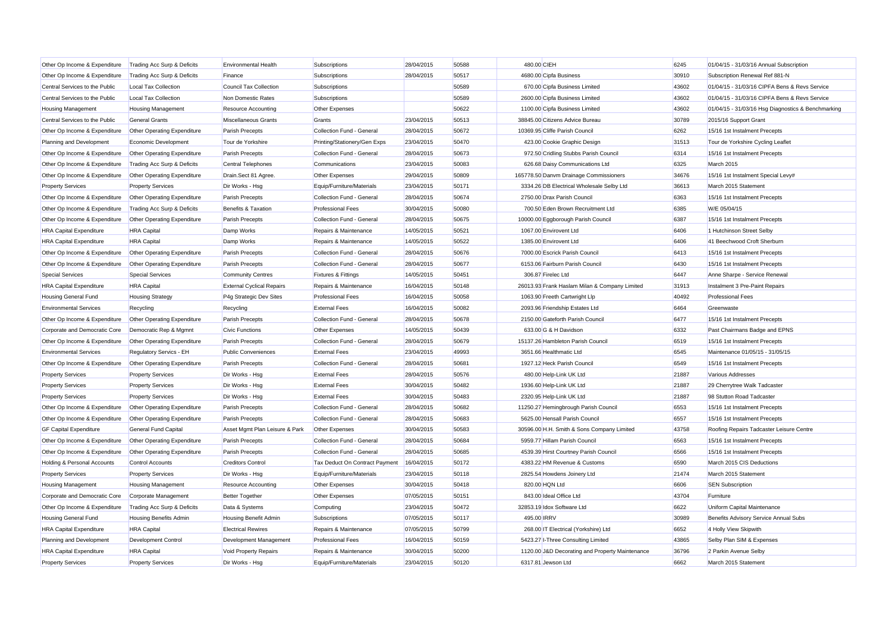| Other Op Income & Expenditure  | Trading Acc Surp & Deficits        | <b>Environmental Health</b>      | Subscriptions                  | 28/04/2015 | 50588 | 480.00 CIEH |                                                 | 6245  | 01/04/15 - 31/03/16 Annual Subscription            |
|--------------------------------|------------------------------------|----------------------------------|--------------------------------|------------|-------|-------------|-------------------------------------------------|-------|----------------------------------------------------|
| Other Op Income & Expenditure  | Trading Acc Surp & Deficits        | Finance                          | <b>Subscriptions</b>           | 28/04/2015 | 50517 |             | 4680.00 Cipfa Business                          | 30910 | Subscription Renewal Ref 881-N                     |
| Central Services to the Public | <b>Local Tax Collection</b>        | Council Tax Collection           | Subscriptions                  |            | 50589 |             | 670.00 Cipfa Business Limited                   | 43602 | 01/04/15 - 31/03/16 CIPFA Bens & Revs Service      |
| Central Services to the Public | <b>Local Tax Collection</b>        | Non Domestic Rates               | <b>Subscriptions</b>           |            | 50589 |             | 2600.00 Cipfa Business Limited                  | 43602 | 01/04/15 - 31/03/16 CIPFA Bens & Revs Service      |
| <b>Housing Management</b>      | <b>Housing Management</b>          | <b>Resource Accounting</b>       | Other Expenses                 |            | 50622 |             | 1100.00 Cipfa Business Limited                  | 43602 | 01/04/15 - 31/03/16 Hsg Diagnostics & Benchmarking |
| Central Services to the Public | <b>General Grants</b>              | Miscellaneous Grants             | Grants                         | 23/04/2015 | 50513 |             | 38845.00 Citizens Advice Bureau                 | 30789 | 2015/16 Support Grant                              |
| Other Op Income & Expenditure  | Other Operating Expenditure        | Parish Precepts                  | Collection Fund - General      | 28/04/2015 | 50672 |             | 10369.95 Cliffe Parish Council                  | 6262  | 15/16 1st Instalment Precepts                      |
| Planning and Development       | Economic Development               | Tour de Yorkshire                | Printing/Stationery/Gen Exps   | 23/04/2015 | 50470 |             | 423.00 Cookie Graphic Design                    | 31513 | Tour de Yorkshire Cycling Leaflet                  |
| Other Op Income & Expenditure  | Other Operating Expenditure        | Parish Precepts                  | Collection Fund - General      | 28/04/2015 | 50673 |             | 972.50 Cridling Stubbs Parish Council           | 6314  | 15/16 1st Instalment Precepts                      |
| Other Op Income & Expenditure  | Trading Acc Surp & Deficits        | <b>Central Telephones</b>        | Communications                 | 23/04/2015 | 50083 |             | 626.68 Daisy Communications Ltd                 | 6325  | March 2015                                         |
| Other Op Income & Expenditure  | Other Operating Expenditure        | Drain.Sect 81 Agree.             | Other Expenses                 | 29/04/2015 | 50809 |             | 165778.50 Danvm Drainage Commissioners          | 34676 | 15/16 1st Instalment Special Levy#                 |
| <b>Property Services</b>       | <b>Property Services</b>           | Dir Works - Hsg                  | Equip/Furniture/Materials      | 23/04/2015 | 50171 |             | 3334.26 DB Electrical Wholesale Selby Ltd       | 36613 | March 2015 Statement                               |
| Other Op Income & Expenditure  | Other Operating Expenditure        | Parish Precepts                  | Collection Fund - General      | 28/04/2015 | 50674 |             | 2750.00 Drax Parish Council                     | 6363  | 15/16 1st Instalment Precepts                      |
| Other Op Income & Expenditure  | Trading Acc Surp & Deficits        | Benefits & Taxation              | <b>Professional Fees</b>       | 30/04/2015 | 50080 |             | 700.50 Eden Brown Recruitment Ltd               | 6385  | W/E 05/04/15                                       |
| Other Op Income & Expenditure  | Other Operating Expenditure        | Parish Precepts                  | Collection Fund - General      | 28/04/2015 | 50675 |             | 10000.00 Eggborough Parish Council              | 6387  | 15/16 1st Instalment Precepts                      |
| <b>HRA Capital Expenditure</b> | <b>HRA</b> Capital                 | Damp Works                       | Repairs & Maintenance          | 14/05/2015 | 50521 |             | 1067.00 Envirovent Ltd                          | 6406  | 1 Hutchinson Street Selby                          |
| <b>HRA Capital Expenditure</b> | <b>HRA</b> Capital                 | Damp Works                       | Repairs & Maintenance          | 14/05/2015 | 50522 |             | 1385.00 Envirovent Ltd                          | 6406  | 41 Beechwood Croft Sherburn                        |
| Other Op Income & Expenditure  | Other Operating Expenditure        | Parish Precepts                  | Collection Fund - General      | 28/04/2015 | 50676 |             | 7000.00 Escrick Parish Council                  | 6413  | 15/16 1st Instalment Precepts                      |
| Other Op Income & Expenditure  | Other Operating Expenditure        | Parish Precepts                  | Collection Fund - General      | 28/04/2015 | 50677 |             | 6153.06 Fairburn Parish Council                 | 6430  | 15/16 1st Instalment Precepts                      |
| <b>Special Services</b>        | <b>Special Services</b>            | <b>Community Centres</b>         | <b>Fixtures &amp; Fittings</b> | 14/05/2015 | 50451 |             | 306.87 Firelec Ltd                              | 6447  | Anne Sharpe - Service Renewal                      |
| <b>HRA Capital Expenditure</b> | <b>HRA</b> Capital                 | <b>External Cyclical Repairs</b> | Repairs & Maintenance          | 16/04/2015 | 50148 |             | 26013.93 Frank Haslam Milan & Company Limited   | 31913 | Instalment 3 Pre-Paint Repairs                     |
| Housing General Fund           | <b>Housing Strategy</b>            | P4g Strategic Dev Sites          | <b>Professional Fees</b>       | 16/04/2015 | 50058 |             | 1063.90 Freeth Cartwright Llp                   | 40492 | <b>Professional Fees</b>                           |
| <b>Environmental Services</b>  | Recycling                          | Recycling                        | <b>External Fees</b>           | 16/04/2015 | 50082 |             | 2093.96 Friendship Estates Ltd                  | 6464  | Greenwaste                                         |
| Other Op Income & Expenditure  | Other Operating Expenditure        | Parish Precepts                  | Collection Fund - General      | 28/04/2015 | 50678 |             | 2150.00 Gateforth Parish Council                | 6477  | 15/16 1st Instalment Precepts                      |
| Corporate and Democratic Core  | Democratic Rep & Mgmnt             | <b>Civic Functions</b>           | Other Expenses                 | 14/05/2015 | 50439 |             | 633.00 G & H Davidson                           | 6332  | Past Chairmans Badge and EPNS                      |
| Other Op Income & Expenditure  | Other Operating Expenditure        | Parish Precepts                  | Collection Fund - General      | 28/04/2015 | 50679 |             | 15137.26 Hambleton Parish Council               | 6519  | 15/16 1st Instalment Precepts                      |
| <b>Environmental Services</b>  | Regulatory Servics - EH            | <b>Public Conveniences</b>       | <b>External Fees</b>           | 23/04/2015 | 49993 |             | 3651.66 Healthmatic Ltd                         | 6545  | Maintenance 01/05/15 - 31/05/15                    |
| Other Op Income & Expenditure  | Other Operating Expenditure        | Parish Precepts                  | Collection Fund - General      | 28/04/2015 | 50681 |             | 1927.12 Heck Parish Council                     | 6549  | 15/16 1st Instalment Precepts                      |
| <b>Property Services</b>       | <b>Property Services</b>           | Dir Works - Hsg                  | <b>External Fees</b>           | 28/04/2015 | 50576 |             | 480.00 Help-Link UK Ltd                         | 21887 | <b>Various Addresses</b>                           |
| <b>Property Services</b>       | <b>Property Services</b>           | Dir Works - Hsg                  | <b>External Fees</b>           | 30/04/2015 | 50482 |             | 1936.60 Help-Link UK Ltd                        | 21887 | 29 Cherrytree Walk Tadcaster                       |
| <b>Property Services</b>       | <b>Property Services</b>           | Dir Works - Hsg                  | <b>External Fees</b>           | 30/04/2015 | 50483 |             | 2320.95 Help-Link UK Ltd                        | 21887 | 98 Stutton Road Tadcaster                          |
| Other Op Income & Expenditure  | Other Operating Expenditure        | Parish Precepts                  | Collection Fund - General      | 28/04/2015 | 50682 |             | 11250.27 Hemingbrough Parish Council            | 6553  | 15/16 1st Instalment Precepts                      |
| Other Op Income & Expenditure  | <b>Other Operating Expenditure</b> | <b>Parish Precepts</b>           | Collection Fund - General      | 28/04/2015 | 50683 |             | 5625.00 Hensall Parish Council                  | 6557  | 15/16 1st Instalment Precepts                      |
| <b>GF Capital Expenditure</b>  | <b>General Fund Capital</b>        | Asset Mgmt Plan Leisure & Park   | <b>Other Expenses</b>          | 30/04/2015 | 50583 |             | 30596.00 H.H. Smith & Sons Company Limited      | 43758 | Roofing Repairs Tadcaster Leisure Centre           |
| Other Op Income & Expenditure  | Other Operating Expenditure        | Parish Precepts                  | Collection Fund - General      | 28/04/2015 | 50684 |             | 5959.77 Hillam Parish Counci                    | 6563  | 15/16 1st Instalment Precepts                      |
| Other Op Income & Expenditure  | Other Operating Expenditure        | Parish Precepts                  | Collection Fund - General      | 28/04/2015 | 50685 |             | 4539.39 Hirst Courtney Parish Council           | 6566  | 15/16 1st Instalment Precepts                      |
| Holding & Personal Accounts    | <b>Control Accounts</b>            | <b>Creditors Control</b>         | Tax Deduct On Contract Payment | 16/04/2015 | 50172 |             | 4383.22 HM Revenue & Customs                    | 6590  | March 2015 CIS Deductions                          |
| <b>Property Services</b>       | <b>Property Services</b>           | Dir Works - Hsg                  | Equip/Furniture/Materials      | 23/04/2015 | 50118 |             | 2825.54 Howdens Joinery Ltd                     | 21474 | March 2015 Statement                               |
| <b>Housing Management</b>      | <b>Housing Management</b>          | Resource Accounting              | Other Expenses                 | 30/04/2015 | 50418 |             | 820.00 HQN Ltd                                  | 6606  | <b>SEN Subscription</b>                            |
| Corporate and Democratic Core  | Corporate Management               | <b>Better Together</b>           | Other Expenses                 | 07/05/2015 | 50151 |             | 843.00 Ideal Office Ltd                         | 43704 | Furniture                                          |
| Other Op Income & Expenditure  | Trading Acc Surp & Deficits        | Data & Systems                   | Computing                      | 23/04/2015 | 50472 |             | 32853.19 Idox Software Ltd                      | 6622  | Uniform Capital Maintenance                        |
| Housing General Fund           | Housing Benefits Admin             | Housing Benefit Admin            | Subscriptions                  | 07/05/2015 | 50117 | 495.00 IRRV |                                                 | 30989 | Benefits Advisory Service Annual Subs              |
| <b>HRA Capital Expenditure</b> | <b>HRA</b> Capital                 | <b>Electrical Rewires</b>        | Repairs & Maintenance          | 07/05/2015 | 50799 |             | 268.00 IT Electrical (Yorkshire) Ltd            | 6652  | 4 Holly View Skipwith                              |
| Planning and Development       | Development Control                | Development Management           | <b>Professional Fees</b>       | 16/04/2015 | 50159 |             | 5423.27 I-Three Consulting Limited              | 43865 | Selby Plan SIM & Expenses                          |
| <b>HRA Capital Expenditure</b> | <b>HRA</b> Capital                 | Void Property Repairs            | Repairs & Maintenance          | 30/04/2015 | 50200 |             | 1120.00 J&D Decorating and Property Maintenance | 36796 | 2 Parkin Avenue Selby                              |
| <b>Property Services</b>       | <b>Property Services</b>           | Dir Works - Hsg                  | Equip/Furniture/Materials      | 23/04/2015 | 50120 |             | 6317.81 Jewson Ltd                              | 6662  | March 2015 Statement                               |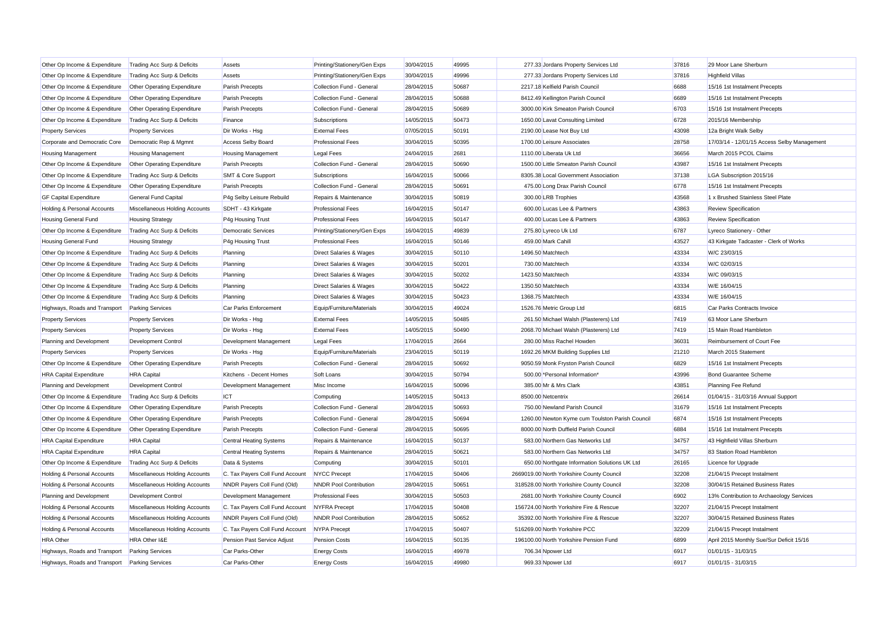| Other Op Income & Expenditure  | Trading Acc Surp & Deficits        | Assets                          | Printing/Stationery/Gen Exps       | 30/04/2015 | 49995 | 277.33 Jordans Property Services Ltd            | 37816 | 29 Moor Lane Sherburn                       |
|--------------------------------|------------------------------------|---------------------------------|------------------------------------|------------|-------|-------------------------------------------------|-------|---------------------------------------------|
| Other Op Income & Expenditure  | Trading Acc Surp & Deficits        | Assets                          | Printing/Stationery/Gen Exps       | 30/04/2015 | 49996 | 277.33 Jordans Property Services Ltd            | 37816 | <b>Highfield Villas</b>                     |
| Other Op Income & Expenditure  | Other Operating Expenditure        | Parish Precepts                 | Collection Fund - General          | 28/04/2015 | 50687 | 2217.18 Kelfield Parish Council                 | 6688  | 15/16 1st Instalment Precepts               |
| Other Op Income & Expenditure  | Other Operating Expenditure        | Parish Precepts                 | Collection Fund - General          | 28/04/2015 | 50688 | 8412.49 Kellington Parish Council               | 6689  | 15/16 1st Instalment Precepts               |
| Other Op Income & Expenditure  | Other Operating Expenditure        | Parish Precepts                 | Collection Fund - General          | 28/04/2015 | 50689 | 3000.00 Kirk Smeaton Parish Council             | 6703  | 15/16 1st Instalment Precepts               |
| Other Op Income & Expenditure  | Trading Acc Surp & Deficits        | Finance                         | <b>Subscriptions</b>               | 14/05/2015 | 50473 | 1650.00 Lavat Consulting Limited                | 6728  | 2015/16 Membership                          |
| <b>Property Services</b>       | <b>Property Services</b>           | Dir Works - Hsg                 | <b>External Fees</b>               | 07/05/2015 | 50191 | 2190.00 Lease Not Buy Ltd                       | 43098 | 12a Bright Walk Selby                       |
| Corporate and Democratic Core  | Democratic Rep & Mgmnt             | <b>Access Selby Board</b>       | <b>Professional Fees</b>           | 30/04/2015 | 50395 | 1700.00 Leisure Associates                      | 28758 | 17/03/14 - 12/01/15 Access Selby Management |
| <b>Housing Management</b>      | <b>Housing Management</b>          | <b>Housing Management</b>       | <b>Legal Fees</b>                  | 24/04/2015 | 2681  | 1110.00 Liberata Uk Ltd                         | 36656 | March 2015 PCOL Claims                      |
| Other Op Income & Expenditure  | Other Operating Expenditure        | Parish Precepts                 | Collection Fund - General          | 28/04/2015 | 50690 | 1500.00 Little Smeaton Parish Council           | 43987 | 15/16 1st Instalment Precepts               |
| Other Op Income & Expenditure  | Trading Acc Surp & Deficits        | <b>SMT &amp; Core Support</b>   | Subscriptions                      | 16/04/2015 | 50066 | 8305.38 Local Government Association            | 37138 | LGA Subscription 2015/16                    |
| Other Op Income & Expenditure  | Other Operating Expenditure        | Parish Precepts                 | Collection Fund - General          | 28/04/2015 | 50691 | 475.00 Long Drax Parish Council                 | 6778  | 15/16 1st Instalment Precepts               |
| <b>GF Capital Expenditure</b>  | <b>General Fund Capital</b>        | P4g Selby Leisure Rebuild       | Repairs & Maintenance              | 30/04/2015 | 50819 | 300.00 LRB Trophies                             | 43568 | 1 x Brushed Stainless Steel Plate           |
| Holding & Personal Accounts    | Miscellaneous Holding Accounts     | SDHT - 43 Kirkgate              | <b>Professional Fees</b>           | 16/04/2015 | 50147 | 600.00 Lucas Lee & Partners                     | 43863 | <b>Review Specification</b>                 |
| Housing General Fund           | <b>Housing Strategy</b>            | P4g Housing Trust               | <b>Professional Fees</b>           | 16/04/2015 | 50147 | 400.00 Lucas Lee & Partners                     | 43863 | <b>Review Specification</b>                 |
| Other Op Income & Expenditure  | Trading Acc Surp & Deficits        | <b>Democratic Services</b>      | Printing/Stationery/Gen Exps       | 16/04/2015 | 49839 | 275.80 Lyreco Uk Ltd                            | 6787  | Lyreco Stationery - Other                   |
| Housing General Fund           | <b>Housing Strategy</b>            | P4g Housing Trust               | <b>Professional Fees</b>           | 16/04/2015 | 50146 | 459.00 Mark Cahill                              | 43527 | 43 Kirkgate Tadcaster - Clerk of Works      |
| Other Op Income & Expenditure  | Trading Acc Surp & Deficits        | Planning                        | Direct Salaries & Wages            | 30/04/2015 | 50110 | 1496.50 Matchtech                               | 43334 | W/C 23/03/15                                |
| Other Op Income & Expenditure  | Trading Acc Surp & Deficits        | Planning                        | Direct Salaries & Wages            | 30/04/2015 | 50201 | 730.00 Matchtech                                | 43334 | W/C 02/03/15                                |
| Other Op Income & Expenditure  | Trading Acc Surp & Deficits        | Planning                        | <b>Direct Salaries &amp; Wages</b> | 30/04/2015 | 50202 | 1423.50 Matchtech                               | 43334 | W/C 09/03/15                                |
| Other Op Income & Expenditure  | Trading Acc Surp & Deficits        | Planning                        | Direct Salaries & Wages            | 30/04/2015 | 50422 | 1350.50 Matchtech                               | 43334 | W/E 16/04/15                                |
| Other Op Income & Expenditure  | Trading Acc Surp & Deficits        | Planning                        | <b>Direct Salaries &amp; Wages</b> | 30/04/2015 | 50423 | 1368.75 Matchtech                               | 43334 | W/E 16/04/15                                |
| Highways, Roads and Transport  | <b>Parking Services</b>            | Car Parks Enforcement           | Equip/Furniture/Materials          | 30/04/2015 | 49024 | 1526.76 Metric Group Ltd                        | 6815  | Car Parks Contracts Invoice                 |
| <b>Property Services</b>       | <b>Property Services</b>           | Dir Works - Hsg                 | <b>External Fees</b>               | 14/05/2015 | 50485 | 261.50 Michael Walsh (Plasterers) Ltd           | 7419  | 63 Moor Lane Sherburn                       |
| <b>Property Services</b>       | <b>Property Services</b>           | Dir Works - Hsg                 | <b>External Fees</b>               | 14/05/2015 | 50490 | 2068.70 Michael Walsh (Plasterers) Ltd          | 7419  | 15 Main Road Hambleton                      |
| Planning and Development       | <b>Development Control</b>         | Development Management          | <b>Legal Fees</b>                  | 17/04/2015 | 2664  | 280.00 Miss Rachel Howden                       | 36031 | Reimbursement of Court Fee                  |
| <b>Property Services</b>       | <b>Property Services</b>           | Dir Works - Hsg                 | Equip/Furniture/Materials          | 23/04/2015 | 50119 | 1692.26 MKM Building Supplies Ltd               | 21210 | March 2015 Statement                        |
| Other Op Income & Expenditure  | Other Operating Expenditure        | Parish Precepts                 | Collection Fund - General          | 28/04/2015 | 50692 | 9050.59 Monk Fryston Parish Council             | 6829  | 15/16 1st Instalment Precepts               |
| <b>HRA Capital Expenditure</b> | <b>HRA</b> Capital                 | Kitchens - Decent Homes         | Soft Loans                         | 30/04/2015 | 50794 | 500.00 *Personal Information*                   | 43996 | <b>Bond Guarantee Scheme</b>                |
| Planning and Development       | <b>Development Control</b>         | Development Management          | Misc Income                        | 16/04/2015 | 50096 | 385.00 Mr & Mrs Clark                           | 43851 | Planning Fee Refund                         |
| Other Op Income & Expenditure  | Trading Acc Surp & Deficits        | <b>ICT</b>                      | Computing                          | 14/05/2015 | 50413 | 8500.00 Netcentrix                              | 26614 | 01/04/15 - 31/03/16 Annual Support          |
| Other Op Income & Expenditure  | Other Operating Expenditure        | Parish Precepts                 | Collection Fund - General          | 28/04/2015 | 50693 | 750.00 Newland Parish Council                   | 31679 | 15/16 1st Instalment Precepts               |
| Other Op Income & Expenditure  | Other Operating Expenditure        | Parish Precepts                 | Collection Fund - General          | 28/04/2015 | 50694 | 1260.00 Newton Kyme cum Toulston Parish Council | 6874  | 15/16 1st Instalment Precepts               |
| Other Op Income & Expenditure  | <b>Other Operating Expenditure</b> | Parish Precepts                 | Collection Fund - General          | 28/04/2015 | 50695 | 8000.00 North Duffield Parish Council           | 6884  | 15/16 1st Instalment Precepts               |
| <b>HRA Capital Expenditure</b> | <b>HRA</b> Capital                 | <b>Central Heating Systems</b>  | Repairs & Maintenance              | 16/04/2015 | 50137 | 583.00 Northern Gas Networks Ltd                | 34757 | 43 Highfield Villas Sherburn                |
| <b>HRA Capital Expenditure</b> | <b>HRA</b> Capital                 | <b>Central Heating Systems</b>  | Repairs & Maintenance              | 28/04/2015 | 50621 | 583.00 Northern Gas Networks Ltd                | 34757 | 83 Station Road Hambleton                   |
| Other Op Income & Expenditure  | Trading Acc Surp & Deficits        | Data & Systems                  | Computing                          | 30/04/2015 | 50101 | 650.00 Northgate Information Solutions UK Ltd   | 26165 | Licence for Upgrade                         |
| Holding & Personal Accounts    | Miscellaneous Holding Accounts     | C. Tax Payers Coll Fund Account | <b>NYCC Precept</b>                | 17/04/2015 | 50406 | 2669019.00 North Yorkshire County Council       | 32208 | 21/04/15 Precept Instalment                 |
| Holding & Personal Accounts    | Miscellaneous Holding Accounts     | NNDR Payers Coll Fund (Old)     | <b>NNDR Pool Contribution</b>      | 28/04/2015 | 50651 | 318528.00 North Yorkshire County Council        | 32208 | 30/04/15 Retained Business Rates            |
| Planning and Development       | Development Control                | Development Management          | <b>Professional Fees</b>           | 30/04/2015 | 50503 | 2681.00 North Yorkshire County Council          | 6902  | 13% Contribution to Archaeology Services    |
| Holding & Personal Accounts    | Miscellaneous Holding Accounts     | C. Tax Payers Coll Fund Account | <b>NYFRA</b> Precept               | 17/04/2015 | 50408 | 156724.00 North Yorkshire Fire & Rescue         | 32207 | 21/04/15 Precept Instalment                 |
| Holding & Personal Accounts    | Miscellaneous Holding Accounts     | NNDR Payers Coll Fund (Old)     | <b>NNDR Pool Contribution</b>      | 28/04/2015 | 50652 | 35392.00 North Yorkshire Fire & Rescue          | 32207 | 30/04/15 Retained Business Rates            |
| Holding & Personal Accounts    | Miscellaneous Holding Accounts     | C. Tax Payers Coll Fund Account | <b>NYPA</b> Precept                | 17/04/2015 | 50407 | 516269.00 North Yorkshire PCC                   | 32209 | 21/04/15 Precept Instalment                 |
| <b>HRA Other</b>               | HRA Other I&E                      | Pension Past Service Adjust     | <b>Pension Costs</b>               | 16/04/2015 | 50135 | 196100.00 North Yorkshire Pension Fund          | 6899  | April 2015 Monthly Sue/Sur Deficit 15/16    |
| Highways, Roads and Transport  | <b>Parking Services</b>            | Car Parks-Other                 | <b>Energy Costs</b>                | 16/04/2015 | 49978 | 706.34 Npower Ltd                               | 6917  | 01/01/15 - 31/03/15                         |
| Highways, Roads and Transport  | <b>Parking Services</b>            | Car Parks-Other                 | <b>Energy Costs</b>                | 16/04/2015 | 49980 | 969.33 Npower Ltd                               | 6917  | 01/01/15 - 31/03/15                         |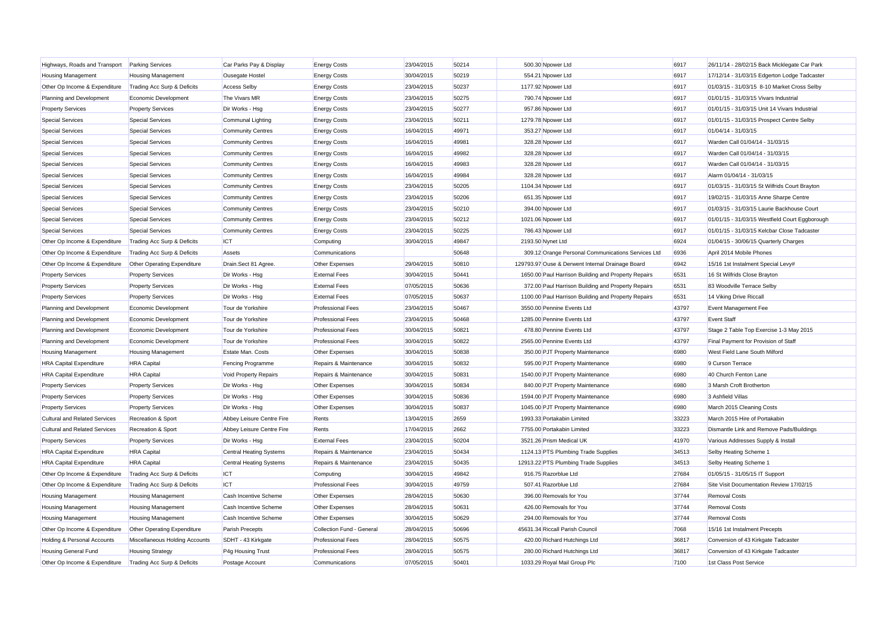| Highways, Roads and Transport Parking Services |                                | Car Parks Pay & Display        | <b>Energy Costs</b>       | 23/04/2015 | 50214 | 500.30 Npower Ltd                                   | 6917  | 26/11/14 - 28/02/15 Back Micklegate Car Park   |
|------------------------------------------------|--------------------------------|--------------------------------|---------------------------|------------|-------|-----------------------------------------------------|-------|------------------------------------------------|
| <b>Housing Management</b>                      | <b>Housing Management</b>      | Ousegate Hostel                | <b>Energy Costs</b>       | 30/04/2015 | 50219 | 554.21 Npower Ltd                                   | 6917  | 17/12/14 - 31/03/15 Edgerton Lodge Tadcaster   |
| Other Op Income & Expenditure                  | Trading Acc Surp & Deficits    | <b>Access Selby</b>            | <b>Energy Costs</b>       | 23/04/2015 | 50237 | 1177.92 Npower Ltd                                  | 6917  | 01/03/15 - 31/03/15 8-10 Market Cross Selby    |
| Planning and Development                       | Economic Development           | The Vivars MR                  | <b>Energy Costs</b>       | 23/04/2015 | 50275 | 790.74 Npower Ltd                                   | 6917  | 01/01/15 - 31/03/15 Vivars Industrial          |
| <b>Property Services</b>                       | <b>Property Services</b>       | Dir Works - Hsg                | <b>Energy Costs</b>       | 23/04/2015 | 50277 | 957.86 Npower Ltd                                   | 6917  | 01/01/15 - 31/03/15 Unit 14 Vivars Industrial  |
| <b>Special Services</b>                        | <b>Special Services</b>        | Communal Lighting              | <b>Energy Costs</b>       | 23/04/2015 | 50211 | 1279.78 Npower Ltd                                  | 6917  | 01/01/15 - 31/03/15 Prospect Centre Selby      |
| <b>Special Services</b>                        | <b>Special Services</b>        | <b>Community Centres</b>       | <b>Energy Costs</b>       | 16/04/2015 | 49971 | 353.27 Npower Ltd                                   | 6917  | 01/04/14 - 31/03/15                            |
| <b>Special Services</b>                        | <b>Special Services</b>        | <b>Community Centres</b>       | <b>Energy Costs</b>       | 16/04/2015 | 49981 | 328.28 Npower Ltd                                   | 6917  | Warden Call 01/04/14 - 31/03/15                |
| <b>Special Services</b>                        | <b>Special Services</b>        | <b>Community Centres</b>       | <b>Energy Costs</b>       | 16/04/2015 | 49982 | 328.28 Npower Ltd                                   | 6917  | Warden Call 01/04/14 - 31/03/15                |
| <b>Special Services</b>                        | <b>Special Services</b>        | <b>Community Centres</b>       | <b>Energy Costs</b>       | 16/04/2015 | 49983 | 328.28 Npower Ltd                                   | 6917  | Warden Call 01/04/14 - 31/03/15                |
| <b>Special Services</b>                        | <b>Special Services</b>        | <b>Community Centres</b>       | <b>Energy Costs</b>       | 16/04/2015 | 49984 | 328.28 Npower Ltd                                   | 6917  | Alarm 01/04/14 - 31/03/15                      |
| <b>Special Services</b>                        | <b>Special Services</b>        | <b>Community Centres</b>       | <b>Energy Costs</b>       | 23/04/2015 | 50205 | 1104.34 Npower Ltd                                  | 6917  | 01/03/15 - 31/03/15 St Wilfrids Court Brayton  |
| <b>Special Services</b>                        | <b>Special Services</b>        | <b>Community Centres</b>       | <b>Energy Costs</b>       | 23/04/2015 | 50206 | 651.35 Npower Ltd                                   | 6917  | 19/02/15 - 31/03/15 Anne Sharpe Centre         |
| <b>Special Services</b>                        | <b>Special Services</b>        | <b>Community Centres</b>       | <b>Energy Costs</b>       | 23/04/2015 | 50210 | 394.00 Npower Ltd                                   | 6917  | 01/03/15 - 31/03/15 Laurie Backhouse Court     |
| <b>Special Services</b>                        | <b>Special Services</b>        | <b>Community Centres</b>       | <b>Energy Costs</b>       | 23/04/2015 | 50212 | 1021.06 Npower Ltd                                  | 6917  | 01/01/15 - 31/03/15 Westfield Court Eggborough |
| <b>Special Services</b>                        | <b>Special Services</b>        | <b>Community Centres</b>       | <b>Energy Costs</b>       | 23/04/2015 | 50225 | 786.43 Npower Ltd                                   | 6917  | 01/01/15 - 31/03/15 Kelcbar Close Tadcaster    |
| Other Op Income & Expenditure                  | Trading Acc Surp & Deficits    | <b>ICT</b>                     | Computing                 | 30/04/2015 | 49847 | 2193.50 Nynet Ltd                                   | 6924  | 01/04/15 - 30/06/15 Quarterly Charges          |
| Other Op Income & Expenditure                  | Trading Acc Surp & Deficits    | Assets                         | Communications            |            | 50648 | 309.12 Orange Personal Communications Services Ltd  | 6936  | April 2014 Mobile Phones                       |
| Other Op Income & Expenditure                  | Other Operating Expenditure    | Drain.Sect 81 Agree.           | Other Expenses            | 29/04/2015 | 50810 | 129793.97 Ouse & Derwent Internal Drainage Board    | 6942  | 15/16 1st Instalment Special Levy#             |
| <b>Property Services</b>                       | <b>Property Services</b>       | Dir Works - Hsg                | <b>External Fees</b>      | 30/04/2015 | 50441 | 1650.00 Paul Harrison Building and Property Repairs | 6531  | 16 St Wilfrids Close Brayton                   |
| <b>Property Services</b>                       | <b>Property Services</b>       | Dir Works - Hsg                | <b>External Fees</b>      | 07/05/2015 | 50636 | 372.00 Paul Harrison Building and Property Repairs  | 6531  | 83 Woodville Terrace Selby                     |
| <b>Property Services</b>                       | <b>Property Services</b>       | Dir Works - Hsg                | <b>External Fees</b>      | 07/05/2015 | 50637 | 1100.00 Paul Harrison Building and Property Repairs | 6531  | 14 Viking Drive Riccall                        |
| Planning and Development                       | Economic Development           | Tour de Yorkshire              | <b>Professional Fees</b>  | 23/04/2015 | 50467 | 3550.00 Pennine Events Ltd                          | 43797 | Event Management Fee                           |
| Planning and Development                       | Economic Development           | Tour de Yorkshire              | <b>Professional Fees</b>  | 23/04/2015 | 50468 | 1285.00 Pennine Events Ltd                          | 43797 | <b>Event Staff</b>                             |
| Planning and Development                       | Economic Development           | Tour de Yorkshire              | <b>Professional Fees</b>  | 30/04/2015 | 50821 | 478.80 Pennine Events Ltd                           | 43797 | Stage 2 Table Top Exercise 1-3 May 2015        |
| Planning and Development                       | Economic Development           | Tour de Yorkshire              | <b>Professional Fees</b>  | 30/04/2015 | 50822 | 2565.00 Pennine Events Ltd                          | 43797 | Final Payment for Provision of Staff           |
| Housing Management                             | <b>Housing Management</b>      | Estate Man. Costs              | Other Expenses            | 30/04/2015 | 50838 | 350.00 PJT Property Maintenance                     | 6980  | West Field Lane South Milford                  |
| <b>HRA Capital Expenditure</b>                 | <b>HRA</b> Capital             | <b>Fencing Programme</b>       | Repairs & Maintenance     | 30/04/2015 | 50832 | 595.00 PJT Property Maintenance                     | 6980  | 9 Curson Terrace                               |
| <b>HRA Capital Expenditure</b>                 | <b>HRA</b> Capital             | Void Property Repairs          | Repairs & Maintenance     | 30/04/2015 | 50831 | 1540.00 PJT Property Maintenance                    | 6980  | 40 Church Fenton Lane                          |
| <b>Property Services</b>                       | <b>Property Services</b>       | Dir Works - Hsg                | Other Expenses            | 30/04/2015 | 50834 | 840.00 PJT Property Maintenance                     | 6980  | 3 Marsh Croft Brotherton                       |
| <b>Property Services</b>                       | <b>Property Services</b>       | Dir Works - Hsg                | Other Expenses            | 30/04/2015 | 50836 | 1594.00 PJT Property Maintenance                    | 6980  | 3 Ashfield Villas                              |
| <b>Property Services</b>                       | <b>Property Services</b>       | Dir Works - Hsg                | Other Expenses            | 30/04/2015 | 50837 | 1045.00 PJT Property Maintenance                    | 6980  | March 2015 Cleaning Costs                      |
| <b>Cultural and Related Services</b>           | Recreation & Sport             | Abbey Leisure Centre Fire      | Rents                     | 13/04/2015 | 2659  | 1993.33 Portakabin Limited                          | 33223 | March 2015 Hire of Portakabin                  |
| <b>Cultural and Related Services</b>           | Recreation & Sport             | Abbey Leisure Centre Fire      | Rents                     | 17/04/2015 | 2662  | 7755.00 Portakabin Limited                          | 33223 | Dismantle Link and Remove Pads/Buildings       |
| <b>Property Services</b>                       | <b>Property Services</b>       | Dir Works - Hsg                | <b>External Fees</b>      | 23/04/2015 | 50204 | 3521.26 Prism Medical UK                            | 41970 | Various Addresses Supply & Install             |
| <b>HRA Capital Expenditure</b>                 | <b>HRA</b> Capital             | Central Heating Systems        | Repairs & Maintenance     | 23/04/2015 | 50434 | 1124.13 PTS Plumbing Trade Supplies                 | 34513 | Selby Heating Scheme 1                         |
| <b>HRA Capital Expenditure</b>                 | <b>HRA</b> Capital             | <b>Central Heating Systems</b> | Repairs & Maintenance     | 23/04/2015 | 50435 | 12913.22 PTS Plumbing Trade Supplies                | 34513 | Selby Heating Scheme 1                         |
| Other Op Income & Expenditure                  | Trading Acc Surp & Deficits    | <b>ICT</b>                     | Computing                 | 30/04/2015 | 49842 | 916.75 Razorblue Ltd                                | 27684 | 01/05/15 - 31/05/15 IT Support                 |
| Other Op Income & Expenditure                  | Trading Acc Surp & Deficits    | <b>ICT</b>                     | <b>Professional Fees</b>  | 30/04/2015 | 49759 | 507.41 Razorblue Ltd                                | 27684 | Site Visit Documentation Review 17/02/15       |
| <b>Housing Management</b>                      | <b>Housing Management</b>      | Cash Incentive Scheme          | Other Expenses            | 28/04/2015 | 50630 | 396.00 Removals for You                             | 37744 | <b>Removal Costs</b>                           |
| <b>Housing Management</b>                      | <b>Housing Management</b>      | Cash Incentive Scheme          | Other Expenses            | 28/04/2015 | 50631 | 426.00 Removals for You                             | 37744 | <b>Removal Costs</b>                           |
| <b>Housing Management</b>                      | <b>Housing Management</b>      | Cash Incentive Scheme          | Other Expenses            | 30/04/2015 | 50629 | 294.00 Removals for You                             | 37744 | <b>Removal Costs</b>                           |
| Other Op Income & Expenditure                  | Other Operating Expenditure    | <b>Parish Precepts</b>         | Collection Fund - General | 28/04/2015 | 50696 | 45631.34 Riccall Parish Council                     | 7068  | 15/16 1st Instalment Precepts                  |
| Holding & Personal Accounts                    | Miscellaneous Holding Accounts | SDHT - 43 Kirkgate             | <b>Professional Fees</b>  | 28/04/2015 | 50575 | 420.00 Richard Hutchings Ltd                        | 36817 | Conversion of 43 Kirkgate Tadcaster            |
| Housing General Fund                           | <b>Housing Strategy</b>        | P4g Housing Trust              | <b>Professional Fees</b>  | 28/04/2015 | 50575 | 280.00 Richard Hutchings Ltd                        | 36817 | Conversion of 43 Kirkgate Tadcaster            |
| Other Op Income & Expenditure                  | Trading Acc Surp & Deficits    | Postage Account                | Communications            | 07/05/2015 | 50401 | 1033.29 Royal Mail Group Plc                        | 7100  | 1st Class Post Service                         |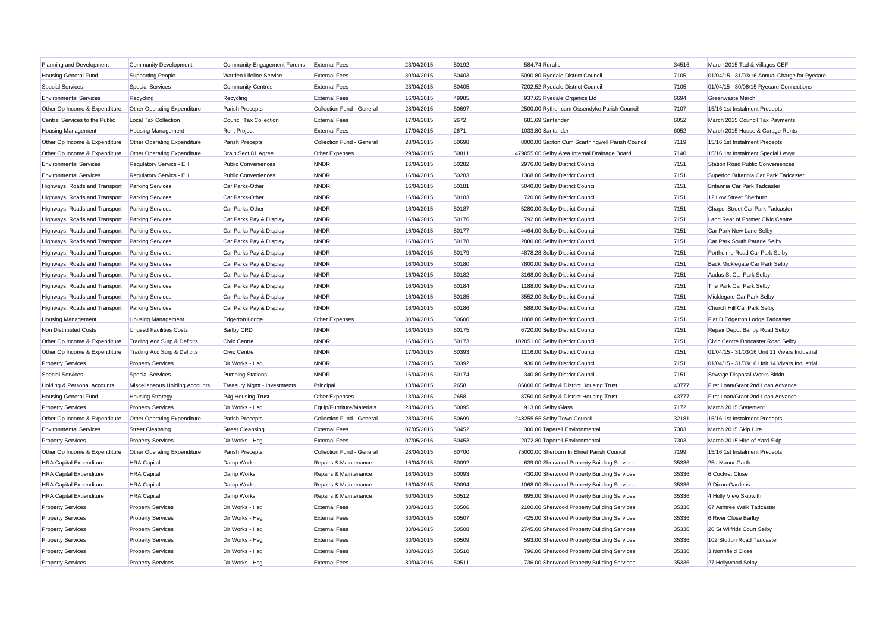| Planning and Development               | <b>Community Development</b>       | Community Engagement Forums | <b>External Fees</b>      | 23/04/2015 | 50192 | 584.74 Ruralis |                                                 | 34516 | March 2015 Tad & Villages CEF                 |
|----------------------------------------|------------------------------------|-----------------------------|---------------------------|------------|-------|----------------|-------------------------------------------------|-------|-----------------------------------------------|
| <b>Housing General Fund</b>            | <b>Supporting People</b>           | Warden Lifeline Service     | <b>External Fees</b>      | 30/04/2015 | 50403 |                | 5090.80 Ryedale District Council                | 7105  | 01/04/15 - 31/03/16 Annual Charge for Ryecare |
| <b>Special Services</b>                | <b>Special Services</b>            | <b>Community Centres</b>    | <b>External Fees</b>      | 23/04/2015 | 50405 |                | 7202.52 Ryedale District Council                | 7105  | 01/04/15 - 30/06/15 Ryecare Connections       |
| <b>Environmental Services</b>          | Recycling                          | Recycling                   | <b>External Fees</b>      | 16/04/2015 | 49985 |                | 937.65 Ryedale Organics Ltd                     | 6694  | Greenwaste March                              |
| Other Op Income & Expenditure          | <b>Other Operating Expenditure</b> | Parish Precepts             | Collection Fund - General | 28/04/2015 | 50697 |                | 2500.00 Ryther cum Ossendyke Parish Council     | 7107  | 15/16 1st Instalment Precepts                 |
| Central Services to the Public         | Local Tax Collection               | Council Tax Collection      | <b>External Fees</b>      | 17/04/2015 | 2672  |                | 681.69 Santander                                | 6052  | March 2015 Council Tax Payments               |
| <b>Housing Management</b>              | <b>Housing Management</b>          | <b>Rent Project</b>         | <b>External Fees</b>      | 17/04/2015 | 2671  |                | 1033.80 Santander                               | 6052  | March 2015 House & Garage Rents               |
| Other Op Income & Expenditure          | Other Operating Expenditure        | Parish Precepts             | Collection Fund - General | 28/04/2015 | 50698 |                | 8000.00 Saxton Cum Scarthingwell Parish Council | 7119  | 15/16 1st Instalment Precepts                 |
| Other Op Income & Expenditure          | <b>Other Operating Expenditure</b> | Drain.Sect 81 Agree.        | <b>Other Expenses</b>     | 29/04/2015 | 50811 |                | 479055.00 Selby Area Internal Drainage Board    | 7140  | 15/16 1st Instalment Special Levy#            |
| <b>Environmental Services</b>          | Regulatory Servics - EH            | <b>Public Conveniences</b>  | <b>NNDR</b>               | 16/04/2015 | 50282 |                | 2976.00 Selby District Council                  | 7151  | <b>Station Road Public Conveniences</b>       |
| <b>Environmental Services</b>          | Regulatory Servics - EH            | <b>Public Conveniences</b>  | <b>NNDR</b>               | 16/04/2015 | 50283 |                | 1368.00 Selby District Council                  | 7151  | Superloo Britannia Car Park Tadcaster         |
| Highways, Roads and Transport          | <b>Parking Services</b>            | Car Parks-Other             | <b>NNDR</b>               | 16/04/2015 | 50181 |                | 5040.00 Selby District Council                  | 7151  | Britannia Car Park Tadcaster                  |
| Highways, Roads and Transport          | <b>Parking Services</b>            | Car Parks-Other             | <b>NNDR</b>               | 16/04/2015 | 50183 |                | 720.00 Selby District Council                   | 7151  | 12 Low Street Sherburn                        |
| Highways, Roads and Transport          | <b>Parking Services</b>            | Car Parks-Other             | <b>NNDR</b>               | 16/04/2015 | 50187 |                | 5280.00 Selby District Council                  | 7151  | Chapel Street Car Park Tadcaster              |
| Highways, Roads and Transport          | <b>Parking Services</b>            | Car Parks Pay & Display     | <b>NNDR</b>               | 16/04/2015 | 50176 |                | 792.00 Selby District Council                   | 7151  | Land Rear of Former Civic Centre              |
| Highways, Roads and Transport          | <b>Parking Services</b>            | Car Parks Pay & Display     | <b>NNDR</b>               | 16/04/2015 | 50177 |                | 4464.00 Selby District Council                  | 7151  | Car Park New Lane Selby                       |
| Highways, Roads and Transport          | <b>Parking Services</b>            | Car Parks Pay & Display     | <b>NNDR</b>               | 16/04/2015 | 50178 |                | 2880.00 Selby District Council                  | 7151  | Car Park South Parade Selby                   |
| Highways, Roads and Transport          | <b>Parking Services</b>            | Car Parks Pay & Display     | <b>NNDR</b>               | 16/04/2015 | 50179 |                | 4878.28 Selby District Council                  | 7151  | Portholme Road Car Park Selby                 |
| Highways, Roads and Transport          | <b>Parking Services</b>            | Car Parks Pay & Display     | <b>NNDR</b>               | 16/04/2015 | 50180 |                | 7800.00 Selby District Council                  | 7151  | Back Micklegate Car Park Selby                |
| Highways, Roads and Transport          | <b>Parking Services</b>            | Car Parks Pay & Display     | <b>NNDR</b>               | 16/04/2015 | 50182 |                | 3168.00 Selby District Council                  | 7151  | Audus St Car Park Selby                       |
| Highways, Roads and Transport          | <b>Parking Services</b>            | Car Parks Pay & Display     | <b>NNDR</b>               | 16/04/2015 | 50184 |                | 1188.00 Selby District Council                  | 7151  | The Park Car Park Selby                       |
| Highways, Roads and Transport          | <b>Parking Services</b>            | Car Parks Pay & Display     | <b>NNDR</b>               | 16/04/2015 | 50185 |                | 3552.00 Selby District Council                  | 7151  | Micklegate Car Park Selby                     |
| Highways, Roads and Transport          | <b>Parking Services</b>            | Car Parks Pay & Display     | <b>NNDR</b>               | 16/04/2015 | 50186 |                | 588.00 Selby District Council                   | 7151  | Church Hill Car Park Selby                    |
| <b>Housing Management</b>              | <b>Housing Management</b>          | Edgerton Lodge              | Other Expenses            | 30/04/2015 | 50600 |                | 1008.00 Selby District Council                  | 7151  | Flat D Edgerton Lodge Tadcaster               |
| Non Distributed Costs                  | <b>Unused Facilities Costs</b>     | <b>Barlby CRD</b>           | <b>NNDR</b>               | 16/04/2015 | 50175 |                | 6720.00 Selby District Council                  | 7151  | Repair Depot Barlby Road Selby                |
| Other Op Income & Expenditure          | Trading Acc Surp & Deficits        | <b>Civic Centre</b>         | <b>NNDR</b>               | 16/04/2015 | 50173 |                | 102051.00 Selby District Council                | 7151  | Civic Centre Doncaster Road Selby             |
| Other Op Income & Expenditure          | Trading Acc Surp & Deficits        | <b>Civic Centre</b>         | <b>NNDR</b>               | 17/04/2015 | 50393 |                | 1116.00 Selby District Council                  | 7151  | 01/04/15 - 31/03/16 Unit 11 Vivars Industrial |
| <b>Property Services</b>               | <b>Property Services</b>           | Dir Works - Hsg             | <b>NNDR</b>               | 17/04/2015 | 50392 |                | 936.00 Selby District Council                   | 7151  | 01/04/15 - 31/03/16 Unit 14 Vivars Industrial |
| <b>Special Services</b>                | <b>Special Services</b>            | <b>Pumping Stations</b>     | <b>NNDR</b>               | 16/04/2015 | 50174 |                | 340.80 Selby District Council                   | 7151  | Sewage Disposal Works Birkin                  |
| <b>Holding &amp; Personal Accounts</b> | Miscellaneous Holding Accounts     | Treasury Mgmt - Investments | Principal                 | 13/04/2015 | 2658  |                | 86000.00 Selby & District Housing Trust         | 43777 | First Loan/Grant 2nd Loan Advance             |
| <b>Housing General Fund</b>            | <b>Housing Strategy</b>            | P4g Housing Trust           | Other Expenses            | 13/04/2015 | 2658  |                | 8750.00 Selby & District Housing Trust          | 43777 | First Loan/Grant 2nd Loan Advance             |
| <b>Property Services</b>               | <b>Property Services</b>           | Dir Works - Hsg             | Equip/Furniture/Materials | 23/04/2015 | 50095 |                | 913.00 Selby Glass                              | 7172  | March 2015 Statement                          |
| Other Op Income & Expenditure          | Other Operating Expenditure        | Parish Precepts             | Collection Fund - General | 28/04/2015 | 50699 |                | 248255.66 Selby Town Council                    | 32181 | 15/16 1st Instalment Precepts                 |
| <b>Environmental Services</b>          | <b>Street Cleansing</b>            | <b>Street Cleansing</b>     | <b>External Fees</b>      | 07/05/2015 | 50452 |                | 300.00 Taperell Environmental                   | 7303  | March 2015 Skip Hire                          |
| <b>Property Services</b>               | <b>Property Services</b>           | Dir Works - Hsg             | <b>External Fees</b>      | 07/05/2015 | 50453 |                | 2072.80 Taperell Environmental                  | 7303  | March 2015 Hire of Yard Skip                  |
| Other Op Income & Expenditure          | Other Operating Expenditure        | Parish Precepts             | Collection Fund - General | 28/04/2015 | 50700 |                | 75000.00 Sherburn In Elmet Parish Council       | 7199  | 15/16 1st Instalment Precepts                 |
| <b>HRA Capital Expenditure</b>         | <b>HRA</b> Capital                 | Damp Works                  | Repairs & Maintenance     | 16/04/2015 | 50092 |                | 639.00 Sherwood Property Building Services      | 35336 | 25a Manor Garth                               |
| <b>HRA Capital Expenditure</b>         | <b>HRA</b> Capital                 | Damp Works                  | Repairs & Maintenance     | 16/04/2015 | 50093 |                | 430.00 Sherwood Property Building Services      | 35336 | 6 Cockret Close                               |
| <b>HRA Capital Expenditure</b>         | <b>HRA</b> Capital                 | Damp Works                  | Repairs & Maintenance     | 16/04/2015 | 50094 |                | 1068.00 Sherwood Property Building Services     | 35336 | 9 Dixon Gardens                               |
| <b>HRA Capital Expenditure</b>         | <b>HRA</b> Capital                 | Damp Works                  | Repairs & Maintenance     | 30/04/2015 | 50512 |                | 695.00 Sherwood Property Building Services      | 35336 | 4 Holly View Skipwith                         |
| <b>Property Services</b>               | <b>Property Services</b>           | Dir Works - Hsg             | <b>External Fees</b>      | 30/04/2015 | 50506 |                | 2100.00 Sherwood Property Building Services     | 35336 | 67 Ashtree Walk Tadcaster                     |
| <b>Property Services</b>               | <b>Property Services</b>           | Dir Works - Hsg             | <b>External Fees</b>      | 30/04/2015 | 50507 |                | 425.00 Sherwood Property Building Services      | 35336 | 6 River Close Barlby                          |
| <b>Property Services</b>               | <b>Property Services</b>           | Dir Works - Hsg             | <b>External Fees</b>      | 30/04/2015 | 50508 |                | 2745.00 Sherwood Property Building Services     | 35336 | 20 St Wilfrids Court Selby                    |
| <b>Property Services</b>               | <b>Property Services</b>           | Dir Works - Hsg             | <b>External Fees</b>      | 30/04/2015 | 50509 |                | 593.00 Sherwood Property Building Services      | 35336 | 102 Stutton Road Tadcaster                    |
| <b>Property Services</b>               | <b>Property Services</b>           | Dir Works - Hsg             | <b>External Fees</b>      | 30/04/2015 | 50510 |                | 796.00 Sherwood Property Building Services      | 35336 | 3 Northfield Close                            |
| <b>Property Services</b>               | <b>Property Services</b>           | Dir Works - Hsg             | <b>External Fees</b>      | 30/04/2015 | 50511 |                | 736.00 Sherwood Property Building Services      | 35336 | 27 Hollywood Selby                            |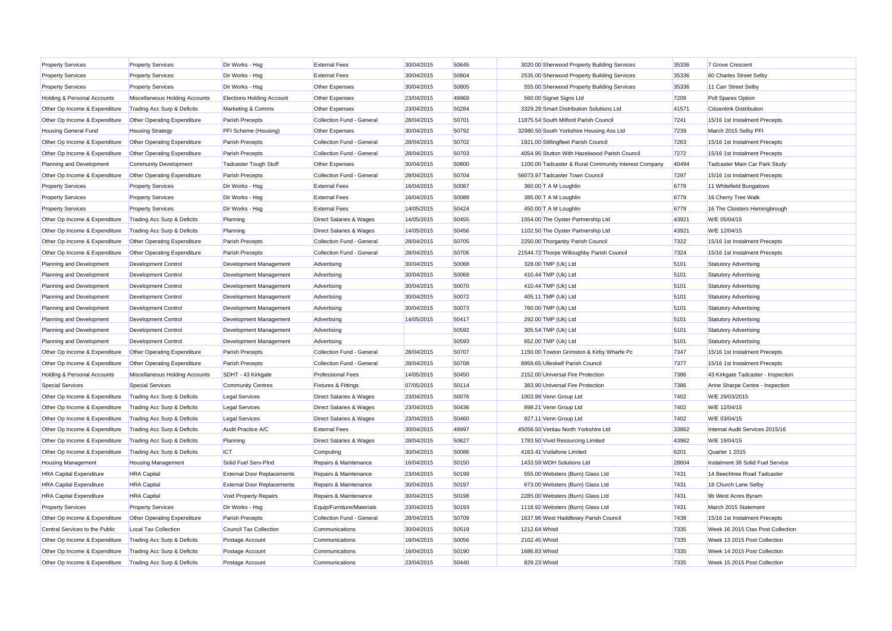| <b>Property Services</b>               | <b>Property Services</b>           | Dir Works - Hsg                   | <b>External Fees</b>               | 30/04/2015 | 50645 | 3020.00 Sherwood Property Building Services          | 35336 | 7 Grove Crescent                   |
|----------------------------------------|------------------------------------|-----------------------------------|------------------------------------|------------|-------|------------------------------------------------------|-------|------------------------------------|
| <b>Property Services</b>               | <b>Property Services</b>           | Dir Works - Hsg                   | <b>External Fees</b>               | 30/04/2015 | 50804 | 2535.00 Sherwood Property Building Services          | 35336 | 60 Charles Street Selby            |
| <b>Property Services</b>               | <b>Property Services</b>           | Dir Works - Hsg                   | Other Expenses                     | 30/04/2015 | 50805 | 555.00 Sherwood Property Building Services           | 35336 | 11 Carr Street Selby               |
| <b>Holding &amp; Personal Accounts</b> | Miscellaneous Holding Accounts     | <b>Elections Holding Account</b>  | Other Expenses                     | 23/04/2015 | 49969 | 560.00 Signet Signs Ltd                              | 7209  | Poll Spares Option                 |
| Other Op Income & Expenditure          | Trading Acc Surp & Deficits        | Marketing & Comms                 | Other Expenses                     | 23/04/2015 | 50284 | 3329.29 Smart Distribution Solutions Ltd             | 41571 | Citizenlink Distribution           |
| Other Op Income & Expenditure          | Other Operating Expenditure        | Parish Precepts                   | Collection Fund - General          | 28/04/2015 | 50701 | 11875.54 South Milford Parish Council                | 7241  | 15/16 1st Instalment Precepts      |
| <b>Housing General Fund</b>            | <b>Housing Strategy</b>            | PFI Scheme (Housing)              | Other Expenses                     | 30/04/2015 | 50792 | 32980.50 South Yorkshire Housing Ass Ltd             | 7239  | March 2015 Selby PFI               |
| Other Op Income & Expenditure          | Other Operating Expenditure        | Parish Precepts                   | Collection Fund - General          | 28/04/2015 | 50702 | 1921.00 Stillingfleet Parish Council                 | 7263  | 15/16 1st Instalment Precepts      |
| Other Op Income & Expenditure          | Other Operating Expenditure        | Parish Precepts                   | Collection Fund - General          | 28/04/2015 | 50703 | 4054.95 Stutton With Hazelwood Parish Council        | 7272  | 15/16 1st Instalment Precepts      |
| Planning and Development               | <b>Community Development</b>       | <b>Tadcaster Tough Stuff</b>      | Other Expenses                     | 30/04/2015 | 50800 | 1100.00 Tadcaster & Rural Community Interest Company | 40494 | Tadcaster Main Car Park Study      |
| Other Op Income & Expenditure          | Other Operating Expenditure        | <b>Parish Precepts</b>            | Collection Fund - General          | 28/04/2015 | 50704 | 56073.97 Tadcaster Town Council                      | 7297  | 15/16 1st Instalment Precepts      |
| <b>Property Services</b>               | <b>Property Services</b>           | Dir Works - Hsg                   | <b>External Fees</b>               | 16/04/2015 | 50087 | 360.00 T A M Loughlin                                | 6779  | 11 Whitefield Bungalows            |
| <b>Property Services</b>               | <b>Property Services</b>           | Dir Works - Hsg                   | <b>External Fees</b>               | 16/04/2015 | 50088 | 385.00 T A M Loughlin                                | 6779  | 16 Cherry Tree Walk                |
| <b>Property Services</b>               | <b>Property Services</b>           | Dir Works - Hsg                   | <b>External Fees</b>               | 14/05/2015 | 50424 | 450.00 T A M Loughlin                                | 6779  | 16 The Cloisters Hemingbrough      |
| Other Op Income & Expenditure          | Trading Acc Surp & Deficits        | Planning                          | <b>Direct Salaries &amp; Wages</b> | 14/05/2015 | 50455 | 1554.00 The Oyster Partnership Ltd                   | 43921 | W/E 05/04/15                       |
| Other Op Income & Expenditure          | Trading Acc Surp & Deficits        | Planning                          | <b>Direct Salaries &amp; Wages</b> | 14/05/2015 | 50456 | 1102.50 The Oyster Partnership Ltd                   | 43921 | W/E 12/04/15                       |
| Other Op Income & Expenditure          | <b>Other Operating Expenditure</b> | Parish Precepts                   | Collection Fund - General          | 28/04/2015 | 50705 | 2250.00 Thorganby Parish Council                     | 7322  | 15/16 1st Instalment Precepts      |
| Other Op Income & Expenditure          | Other Operating Expenditure        | <b>Parish Precepts</b>            | Collection Fund - General          | 28/04/2015 | 50706 | 21544.72 Thorpe Willoughby Parish Council            | 7324  | 15/16 1st Instalment Precepts      |
| Planning and Development               | Development Control                | Development Management            | Advertising                        | 30/04/2015 | 50068 | 328.00 TMP (Uk) Ltd                                  | 5101  | <b>Statutory Advertising</b>       |
| Planning and Development               | <b>Development Control</b>         | Development Management            | Advertising                        | 30/04/2015 | 50069 | 410.44 TMP (Uk) Ltd                                  | 5101  | <b>Statutory Advertising</b>       |
| Planning and Development               | Development Control                | Development Management            | Advertising                        | 30/04/2015 | 50070 | 410.44 TMP (Uk) Ltd                                  | 5101  | <b>Statutory Advertising</b>       |
| Planning and Development               | <b>Development Control</b>         | Development Management            | Advertising                        | 30/04/2015 | 50072 | 405.11 TMP (Uk) Ltd                                  | 5101  | <b>Statutory Advertising</b>       |
| Planning and Development               | Development Control                | Development Management            | Advertising                        | 30/04/2015 | 50073 | 760.00 TMP (Uk) Ltd                                  | 5101  | <b>Statutory Advertising</b>       |
| Planning and Development               | Development Control                | Development Management            | Advertising                        | 14/05/2015 | 50417 | 292.00 TMP (Uk) Ltd                                  | 5101  | <b>Statutory Advertising</b>       |
| Planning and Development               | Development Control                | Development Management            | Advertising                        |            | 50592 | 305.54 TMP (Uk) Ltd                                  | 5101  | <b>Statutory Advertising</b>       |
| Planning and Development               | <b>Development Control</b>         | Development Management            | Advertising                        |            | 50593 | 652.00 TMP (Uk) Ltd                                  | 5101  | <b>Statutory Advertising</b>       |
| Other Op Income & Expenditure          | Other Operating Expenditure        | <b>Parish Precepts</b>            | Collection Fund - General          | 28/04/2015 | 50707 | 1150.00 Towton Grimston & Kirby Wharfe Pc            | 7347  | 15/16 1st Instalment Precepts      |
| Other Op Income & Expenditure          | Other Operating Expenditure        | Parish Precepts                   | Collection Fund - General          | 28/04/2015 | 50708 | 8959.65 Ulleskelf Parish Council                     | 7377  | 15/16 1st Instalment Precepts      |
| <b>Holding &amp; Personal Accounts</b> | Miscellaneous Holding Accounts     | SDHT - 43 Kirkgate                | <b>Professional Fees</b>           | 14/05/2015 | 50450 | 2152.00 Universal Fire Protection                    | 7386  | 43 Kirkgate Tadcaster - Inspection |
| Special Services                       | <b>Special Services</b>            | <b>Community Centres</b>          | <b>Fixtures &amp; Fittings</b>     | 07/05/2015 | 50114 | 383.90 Universal Fire Protection                     | 7386  | Anne Sharpe Centre - Inspection    |
| Other Op Income & Expenditure          | Trading Acc Surp & Deficits        | Legal Services                    | <b>Direct Salaries &amp; Wages</b> | 23/04/2015 | 50076 | 1003.99 Venn Group Ltd                               | 7402  | W/E 29/03/2015                     |
| Other Op Income & Expenditure          | Trading Acc Surp & Deficits        | <b>Legal Services</b>             | <b>Direct Salaries &amp; Wages</b> | 23/04/2015 | 50436 | 898.21 Venn Group Ltd                                | 7402  | W/E 12/04/15                       |
| Other Op Income & Expenditure          | Trading Acc Surp & Deficits        | Legal Services                    | <b>Direct Salaries &amp; Wages</b> | 23/04/2015 | 50460 | 927.11 Venn Group Ltd                                | 7402  | W/E 03/04/15                       |
| Other Op Income & Expenditure          | Trading Acc Surp & Deficits        | Audit Practice A/C                | <b>External Fees</b>               | 30/04/2015 | 49997 | 45056.50 Veritau North Yorkshire Ltd                 | 33862 | Internal Audit Services 2015/16    |
| Other Op Income & Expenditure          | Trading Acc Surp & Deficits        | Planning                          | Direct Salaries & Wages            | 28/04/2015 | 50627 | 1783.50 Vivid Resourcing Limited                     | 43982 | W/E 19/04/15                       |
| Other Op Income & Expenditure          | Trading Acc Surp & Deficits        | ICT                               | Computing                          | 30/04/2015 | 50086 | 4163.41 Vodafone Limited                             | 6201  | Quarter 1 2015                     |
| <b>Housing Management</b>              | <b>Housing Management</b>          | Solid Fuel Serv-PInd              | Repairs & Maintenance              | 16/04/2015 | 50150 | 1433.59 WDH Solutions Ltd                            | 28604 | Instalment 38 Solid Fuel Service   |
| <b>HRA Capital Expenditure</b>         | <b>HRA</b> Capital                 | <b>External Door Replacements</b> | Repairs & Maintenance              | 23/04/2015 | 50199 | 555.00 Websters (Burn) Glass Ltd                     | 7431  | 14 Beechtree Road Tadcaster        |
| <b>HRA Capital Expenditure</b>         | <b>HRA</b> Capital                 | <b>External Door Replacements</b> | Repairs & Maintenance              | 30/04/2015 | 50197 | 673.00 Websters (Burn) Glass Ltd                     | 7431  | 18 Church Lane Selby               |
| <b>HRA Capital Expenditure</b>         | <b>HRA</b> Capital                 | Void Property Repairs             | Repairs & Maintenance              | 30/04/2015 | 50198 | 2285.00 Websters (Burn) Glass Ltd                    | 7431  | 9b West Acres Byram                |
| <b>Property Services</b>               | <b>Property Services</b>           | Dir Works - Hsg                   | Equip/Furniture/Materials          | 23/04/2015 | 50193 | 1118.92 Websters (Burn) Glass Ltd                    | 7431  | March 2015 Statement               |
| Other Op Income & Expenditure          | Other Operating Expenditure        | Parish Precepts                   | Collection Fund - General          | 28/04/2015 | 50709 | 1637.96 West Haddlesey Parish Council                | 7438  | 15/16 1st Instalment Precepts      |
| Central Services to the Public         | <b>Local Tax Collection</b>        | Council Tax Collection            | Communications                     | 30/04/2015 | 50519 | 1212.64 Whistl                                       | 7335  | Week 16 2015 Ctax Post Collection  |
| Other Op Income & Expenditure          | Trading Acc Surp & Deficits        | Postage Account                   | Communications                     | 16/04/2015 | 50056 | 2102.45 Whistl                                       | 7335  | Week 13 2015 Post Collection       |
| Other Op Income & Expenditure          | Trading Acc Surp & Deficits        | Postage Account                   | Communications                     | 16/04/2015 | 50190 | 1686.83 Whistl                                       | 7335  | Week 14 2015 Post Collection       |
| Other Op Income & Expenditure          | Trading Acc Surp & Deficits        | Postage Account                   | Communications                     | 23/04/2015 | 50440 | 829.23 Whistl                                        | 7335  | Week 15 2015 Post Collection       |